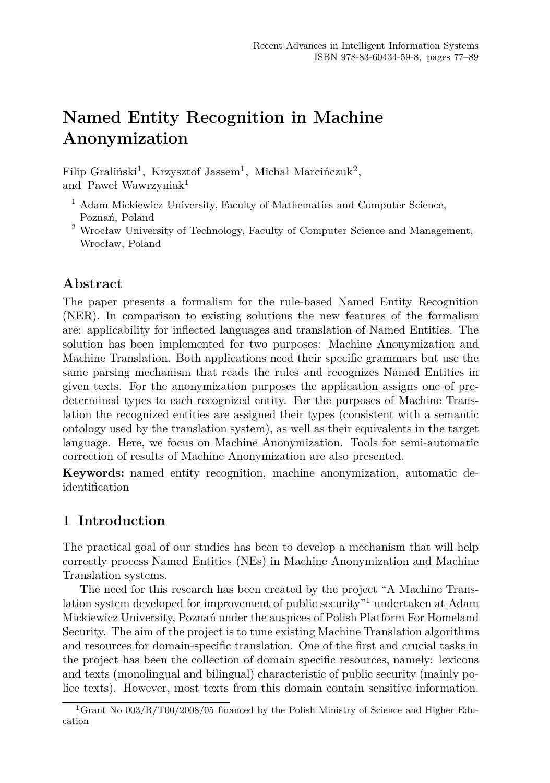# **Named Entity Recognition in Machine Anonymization**

Filip Graliński<sup>1</sup>, Krzysztof Jassem<sup>1</sup>, Michał Marcińczuk<sup>2</sup>, and Paweł Wawrzynia $k^1$ 

- $^{\rm 1}$  Adam Mickiewicz University, Faculty of Mathematics and Computer Science, Poznań, Poland
- $^2$  Wrocław University of Technology, Faculty of Computer Science and Management, Wrocław, Poland

# **Abstract**

The paper presents a formalism for the rule-based Named Entity Recognition (NER). In comparison to existing solutions the new features of the formalism are: applicability for inflected languages and translation of Named Entities. The solution has been implemented for two purposes: Machine Anonymization and Machine Translation. Both applications need their specific grammars but use the same parsing mechanism that reads the rules and recognizes Named Entities in given texts. For the anonymization purposes the application assigns one of predetermined types to each recognized entity. For the purposes of Machine Translation the recognized entities are assigned their types (consistent with a semantic ontology used by the translation system), as well as their equivalents in the target language. Here, we focus on Machine Anonymization. Tools for semi-automatic correction of results of Machine Anonymization are also presented.

**Keywords:** named entity recognition, machine anonymization, automatic deidentification

# **1 Introduction**

The practical goal of our studies has been to develop a mechanism that will help correctly process Named Entities (NEs) in Machine Anonymization and Machine Translation systems.

The need for this research has been created by the project "A Machine Translation system developed for improvement of public security<sup>"1</sup> undertaken at Adam Mickiewicz University, Poznań under the auspices of Polish Platform For Homeland Security. The aim of the project is to tune existing Machine Translation algorithms and resources for domain-specific translation. One of the first and crucial tasks in the project has been the collection of domain specific resources, namely: lexicons and texts (monolingual and bilingual) characteristic of public security (mainly police texts). However, most texts from this domain contain sensitive information.

<sup>&</sup>lt;sup>1</sup>Grant No 003/R/T00/2008/05 financed by the Polish Ministry of Science and Higher Education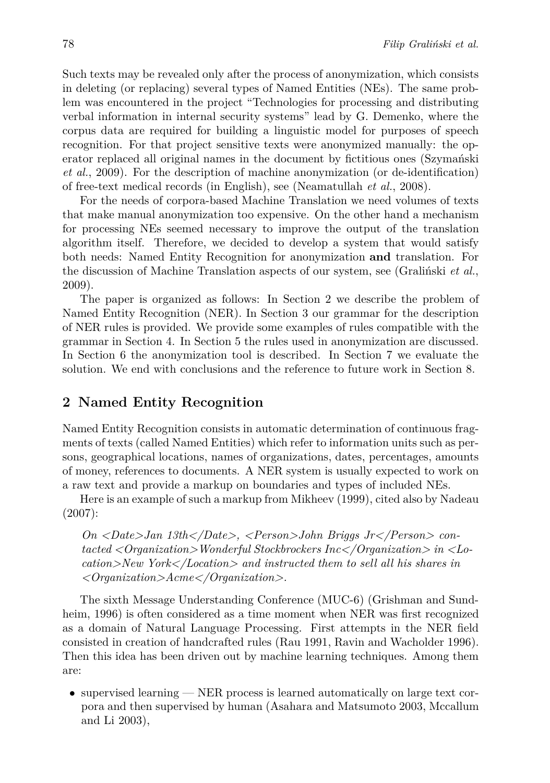Such texts may be revealed only after the process of anonymization, which consists in deleting (or replacing) several types of Named Entities (NEs). The same problem was encountered in the project "Technologies for processing and distributing verbal information in internal security systems" lead by G. Demenko, where the corpus data are required for building a linguistic model for purposes of speech recognition. For that project sensitive texts were anonymized manually: the operator replaced all original names in the document by fictitious ones (Szymański *et al.*, 2009). For the description of machine anonymization (or de-identification) of free-text medical records (in English), see (Neamatullah *et al.*, 2008).

For the needs of corpora-based Machine Translation we need volumes of texts that make manual anonymization too expensive. On the other hand a mechanism for processing NEs seemed necessary to improve the output of the translation algorithm itself. Therefore, we decided to develop a system that would satisfy both needs: Named Entity Recognition for anonymization **and** translation. For the discussion of Machine Translation aspects of our system, see (Graliński *et al.*, 2009).

The paper is organized as follows: In Section 2 we describe the problem of Named Entity Recognition (NER). In Section 3 our grammar for the description of NER rules is provided. We provide some examples of rules compatible with the grammar in Section 4. In Section 5 the rules used in anonymization are discussed. In Section 6 the anonymization tool is described. In Section 7 we evaluate the solution. We end with conclusions and the reference to future work in Section 8.

## **2 Named Entity Recognition**

Named Entity Recognition consists in automatic determination of continuous fragments of texts (called Named Entities) which refer to information units such as persons, geographical locations, names of organizations, dates, percentages, amounts of money, references to documents. A NER system is usually expected to work on a raw text and provide a markup on boundaries and types of included NEs.

Here is an example of such a markup from Mikheev (1999), cited also by Nadeau (2007):

*On <Date>Jan 13th</Date>, <Person>John Briggs Jr</Person> contacted <Organization>Wonderful Stockbrockers Inc</Organization> in <Location>New York</Location> and instructed them to sell all his shares in <Organization>Acme</Organization>.*

The sixth Message Understanding Conference (MUC-6) (Grishman and Sundheim, 1996) is often considered as a time moment when NER was first recognized as a domain of Natural Language Processing. First attempts in the NER field consisted in creation of handcrafted rules (Rau 1991, Ravin and Wacholder 1996). Then this idea has been driven out by machine learning techniques. Among them are:

• supervised learning — NER process is learned automatically on large text corpora and then supervised by human (Asahara and Matsumoto 2003, Mccallum and Li 2003),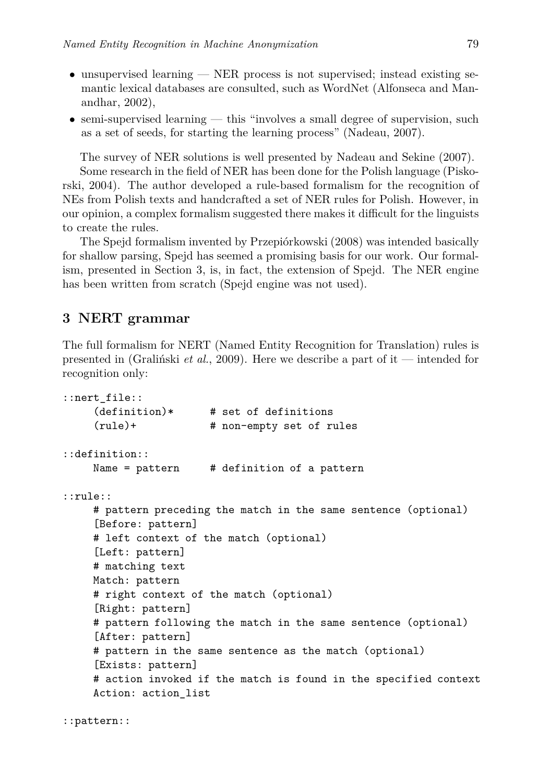- unsupervised learning NER process is not supervised; instead existing semantic lexical databases are consulted, such as WordNet (Alfonseca and Manandhar, 2002),
- semi-supervised learning this "involves a small degree of supervision, such as a set of seeds, for starting the learning process" (Nadeau, 2007).

The survey of NER solutions is well presented by Nadeau and Sekine (2007). Some research in the field of NER has been done for the Polish language (Piskorski, 2004). The author developed a rule-based formalism for the recognition of NEs from Polish texts and handcrafted a set of NER rules for Polish. However, in our opinion, a complex formalism suggested there makes it difficult for the linguists to create the rules.

The Spejd formalism invented by Przepiórkowski (2008) was intended basically for shallow parsing, Spejd has seemed a promising basis for our work. Our formalism, presented in Section 3, is, in fact, the extension of Spejd. The NER engine has been written from scratch (Spejd engine was not used).

### **3 NERT grammar**

The full formalism for NERT (Named Entity Recognition for Translation) rules is presented in (Graliński *et al.*, 2009). Here we describe a part of it — intended for recognition only:

```
::nert_file::
    (definition)* # set of definitions
    (rule)+ # non-empty set of rules
::definition::
    Name = pattern # definition of a pattern
::rule::
    # pattern preceding the match in the same sentence (optional)
     [Before: pattern]
    # left context of the match (optional)
    [Left: pattern]
    # matching text
    Match: pattern
    # right context of the match (optional)
    [Right: pattern]
    # pattern following the match in the same sentence (optional)
    [After: pattern]
    # pattern in the same sentence as the match (optional)
    [Exists: pattern]
    # action invoked if the match is found in the specified context
    Action: action list
```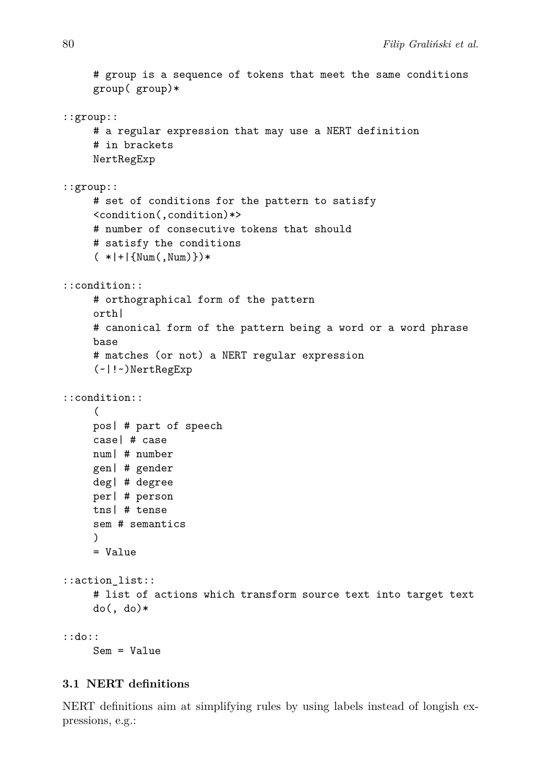```
# group is a sequence of tokens that meet the same conditions
     group( group)*
::group::
     # a regular expression that may use a NERT definition
     # in brackets
    NertRegExp
::group::
     # set of conditions for the pattern to satisfy
     <condition(,condition)*>
     # number of consecutive tokens that should
     # satisfy the conditions
     (*|+|{\text{Num}(\, , \text{Num})\})*
::condition::
     # orthographical form of the pattern
     orth|
     # canonical form of the pattern being a word or a word phrase
     base
     # matches (or not) a NERT regular expression
     (~|!~)NertRegExp
::condition::
     (
    pos| # part of speech
     case| # case
    num| # number
    gen| # gender
    deg| # degree
    per| # person
    tns| # tense
     sem # semantics
     )
    = Value
::action_list::
    # list of actions which transform source text into target text
     do(, do)*::do::
    Sem = Value
```
#### **3.1 NERT definitions**

NERT definitions aim at simplifying rules by using labels instead of longish expressions, e.g.: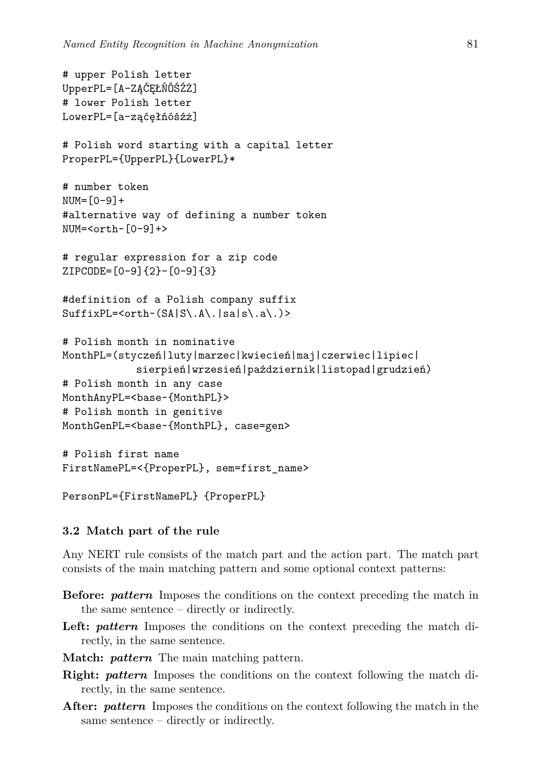```
# upper Polish letter
UpperPL=[A-ZĄĆĘŁŃÓŚŹŻ]
# lower Polish letter
LowerPL=[a-ząćęłńóśźż]
# Polish word starting with a capital letter
ProperPL={UpperPL}{LowerPL}*
# number token
NUM = [0-9]+#alternative way of defining a number token
NUM=<orth~[0-9]+>
# regular expression for a zip code
ZIPCODE=[0-9]{2}-[0-9]{3}
#definition of a Polish company suffix
SuffixPL=<orth-(SA|S\..A\..|sa|s\..a\.)# Polish month in nominative
MonthPL=(styczeń|luty|marzec|kwiecień|maj|czerwiec|lipiec|
            sierpień|wrzesień|październik|listopad|grudzień)
# Polish month in any case
MonthAnyPL=<base~{MonthPL}>
# Polish month in genitive
MonthGenPL=<br/>base~{MonthPL}, case=gen>
# Polish first name
```

```
FirstNamePL=<{ProperPL}, sem=first_name>
```

```
PersonPL={FirstNamePL} {ProperPL}
```
#### **3.2 Match part of the rule**

Any NERT rule consists of the match part and the action part. The match part consists of the main matching pattern and some optional context patterns:

- **Before:** *pattern* Imposes the conditions on the context preceding the match in the same sentence – directly or indirectly.
- **Left:** *pattern* Imposes the conditions on the context preceding the match directly, in the same sentence.
- **Match:** *pattern* The main matching pattern.
- **Right:** *pattern* Imposes the conditions on the context following the match directly, in the same sentence.
- **After:** *pattern* Imposes the conditions on the context following the match in the same sentence – directly or indirectly.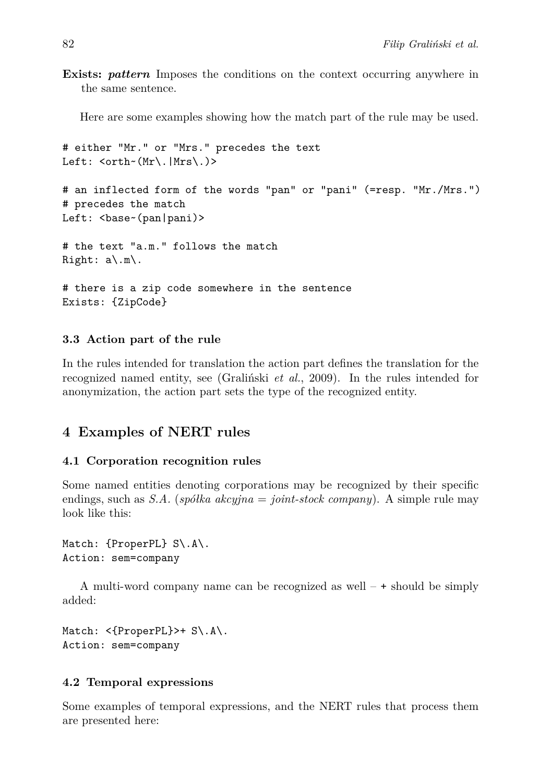**Exists:** *pattern* Imposes the conditions on the context occurring anywhere in the same sentence.

Here are some examples showing how the match part of the rule may be used.

```
# either "Mr." or "Mrs." precedes the text
Left: <orth~(Mr\.|Mrs\.)>
# an inflected form of the words "pan" or "pani" (=resp. "Mr./Mrs.")
# precedes the match
Left: <br/>base~(pan|pani)>
# the text "a.m." follows the match
Right: a\.m\.
# there is a zip code somewhere in the sentence
Exists: {ZipCode}
```
## **3.3 Action part of the rule**

In the rules intended for translation the action part defines the translation for the recognized named entity, see (Graliński *et al.*, 2009). In the rules intended for anonymization, the action part sets the type of the recognized entity.

# **4 Examples of NERT rules**

#### **4.1 Corporation recognition rules**

Some named entities denoting corporations may be recognized by their specific endings, such as *S.A.* (*spółka akcyjna* = *joint-stock company*). A simple rule may look like this:

```
Match: {ProperPL} S\.A\.
Action: sem=company
```
A multi-word company name can be recognized as well  $- +$  should be simply added:

```
Match: <{ProperPL}>+ S\.A\.
Action: sem=company
```
#### **4.2 Temporal expressions**

Some examples of temporal expressions, and the NERT rules that process them are presented here: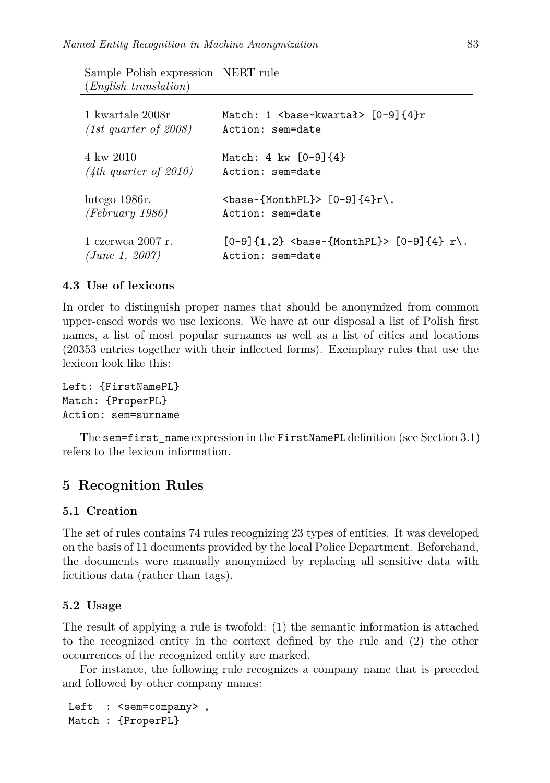Sample Polish expression NERT rule (*English translation*)

| 1 kwartale 2008r        | Match: 1 $\delta$ / $\delta$ / $\delta$ / $\delta$ / $\delta$ / $\delta$ / $\delta$ / $\delta$ / $\delta$ / $\delta$ / $\delta$ / $\delta$ / $\delta$ / $\delta$ / $\delta$ / $\delta$ / $\delta$ / $\delta$ / $\delta$ / $\delta$ / $\delta$ / $\delta$ / $\delta$ / $\delta$ / $\delta$ / $\delta$ / $\delta$ / $\delta$ / $\delta$ / $\delta$ / $\$ |
|-------------------------|--------------------------------------------------------------------------------------------------------------------------------------------------------------------------------------------------------------------------------------------------------------------------------------------------------------------------------------------------------|
| $(1st$ quarter of 2008) | Action: sem=date                                                                                                                                                                                                                                                                                                                                       |
| 4 kw 2010               | Match: 4 kw $[0-9]{4}$                                                                                                                                                                                                                                                                                                                                 |
| $(4th$ quarter of 2010) | Action: sem=date                                                                                                                                                                                                                                                                                                                                       |
| lutego 1986.            | $\{\text{base} \cdot \{\text{MonthPL}\} > [0-9] \{4\}r \}.$                                                                                                                                                                                                                                                                                            |
| $(February\ 1986)$      | Action: sem=date                                                                                                                                                                                                                                                                                                                                       |
| 1 czerwca 2007 r.       | $[0-9]{1,2}$<br>base {MonthPL}> $[0-9]{4}$ r \.                                                                                                                                                                                                                                                                                                        |
| (June 1, 2007)          | Action: sem=date                                                                                                                                                                                                                                                                                                                                       |

#### **4.3 Use of lexicons**

In order to distinguish proper names that should be anonymized from common upper-cased words we use lexicons. We have at our disposal a list of Polish first names, a list of most popular surnames as well as a list of cities and locations (20353 entries together with their inflected forms). Exemplary rules that use the lexicon look like this:

```
Left: {FirstNamePL}
Match: {ProperPL}
Action: sem=surname
```
The sem=first\_name expression in the FirstNamePL definition (see Section 3.1) refers to the lexicon information.

## **5 Recognition Rules**

#### **5.1 Creation**

The set of rules contains 74 rules recognizing 23 types of entities. It was developed on the basis of 11 documents provided by the local Police Department. Beforehand, the documents were manually anonymized by replacing all sensitive data with fictitious data (rather than tags).

#### **5.2 Usage**

The result of applying a rule is twofold: (1) the semantic information is attached to the recognized entity in the context defined by the rule and (2) the other occurrences of the recognized entity are marked.

For instance, the following rule recognizes a company name that is preceded and followed by other company names:

```
Left : <sem=company>,
Match : {ProperPL}
```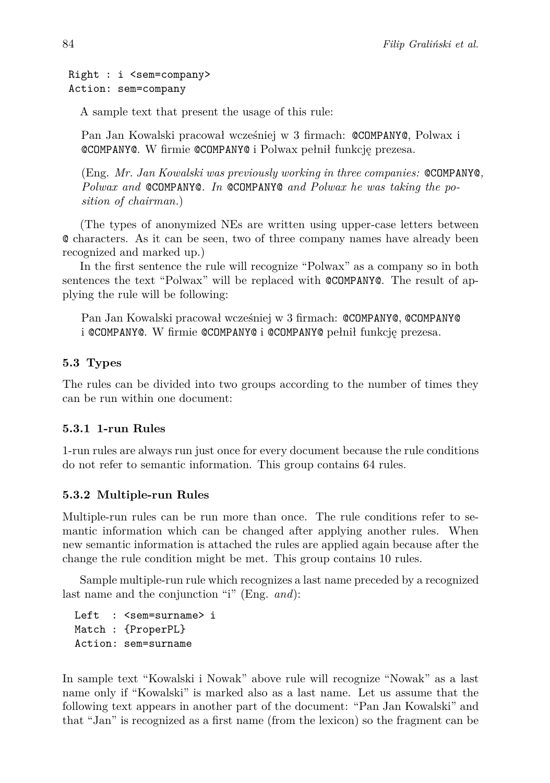```
Right : i <sem=company>
Action: sem=company
```
A sample text that present the usage of this rule:

Pan Jan Kowalski pracował wcześniej w 3 firmach: @COMPANY@, Polwax i @COMPANY@. W firmie @COMPANY@ i Polwax pełnił funkcję prezesa.

(Eng. *Mr. Jan Kowalski was previously working in three companies:* @COMPANY@*, Polwax and* @COMPANY@*. In* @COMPANY@ *and Polwax he was taking the position of chairman.*)

(The types of anonymized NEs are written using upper-case letters between @ characters. As it can be seen, two of three company names have already been recognized and marked up.)

In the first sentence the rule will recognize "Polwax" as a company so in both sentences the text "Polwax" will be replaced with @COMPANY@. The result of applying the rule will be following:

Pan Jan Kowalski pracował wcześniej w 3 firmach: @COMPANY@, @COMPANY@ i @COMPANY@. W firmie @COMPANY@ i @COMPANY@ pełnił funkcję prezesa.

#### **5.3 Types**

The rules can be divided into two groups according to the number of times they can be run within one document:

#### **5.3.1 1-run Rules**

1-run rules are always run just once for every document because the rule conditions do not refer to semantic information. This group contains 64 rules.

#### **5.3.2 Multiple-run Rules**

Multiple-run rules can be run more than once. The rule conditions refer to semantic information which can be changed after applying another rules. When new semantic information is attached the rules are applied again because after the change the rule condition might be met. This group contains 10 rules.

Sample multiple-run rule which recognizes a last name preceded by a recognized last name and the conjunction "i" (Eng. *and*):

Left : <sem=surname> i Match : {ProperPL} Action: sem=surname

In sample text "Kowalski i Nowak" above rule will recognize "Nowak" as a last name only if "Kowalski" is marked also as a last name. Let us assume that the following text appears in another part of the document: "Pan Jan Kowalski" and that "Jan" is recognized as a first name (from the lexicon) so the fragment can be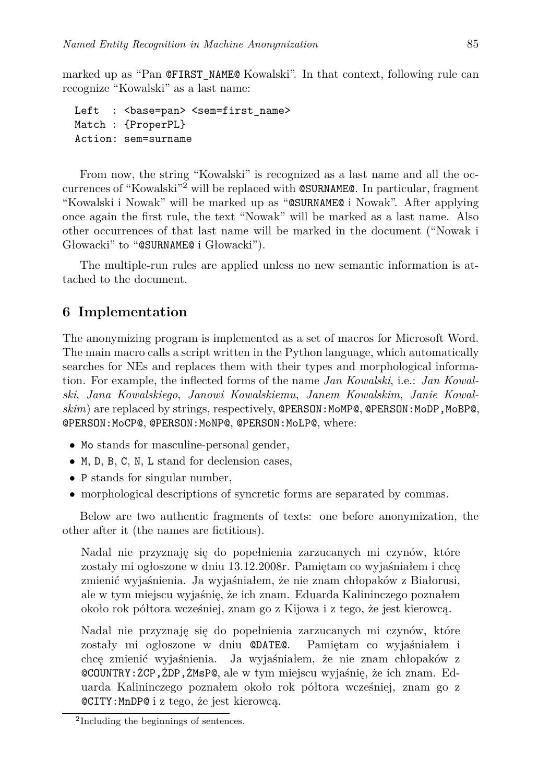marked up as "Pan @FIRST\_NAME@ Kowalski". In that context, following rule can recognize "Kowalski" as a last name:

```
Left : <br />base=pan> <sem=first_name>
Match : {ProperPL}
Action: sem=surname
```
From now, the string "Kowalski" is recognized as a last name and all the occurrences of "Kowalski"<sup>2</sup> will be replaced with @SURNAME@. In particular, fragment "Kowalski i Nowak" will be marked up as "@SURNAME@ i Nowak". After applying once again the first rule, the text "Nowak" will be marked as a last name. Also other occurrences of that last name will be marked in the document ("Nowak i Głowacki" to "@SURNAME@ i Głowacki").

The multiple-run rules are applied unless no new semantic information is attached to the document.

## **6 Implementation**

The anonymizing program is implemented as a set of macros for Microsoft Word. The main macro calls a script written in the Python language, which automatically searches for NEs and replaces them with their types and morphological information. For example, the inflected forms of the name *Jan Kowalski*, i.e.: *Jan Kowalski*, *Jana Kowalskiego*, *Janowi Kowalskiemu*, *Janem Kowalskim*, *Janie Kowal*skim) are replaced by strings, respectively, **@PERSON:MoMP@, @PERSON:MoDP,MoBP@**, @PERSON:MoCP@, @PERSON:MoNP@, @PERSON:MoLP@, where:

- Mo stands for masculine-personal gender,
- *•* M, D, B, C, N, L stand for declension cases,
- *•* P stands for singular number,
- morphological descriptions of syncretic forms are separated by commas.

Below are two authentic fragments of texts: one before anonymization, the other after it (the names are fictitious).

Nadal nie przyznaję się do popełnienia zarzucanych mi czynów, które zostały mi ogłoszone w dniu 13.12.2008r. Pamiętam co wyjaśniałem i chcę zmienić wyjaśnienia. Ja wyjaśniałem, że nie znam chłopaków z Białorusi, ale w tym miejscu wyjaśnię, że ich znam. Eduarda Kalininczego poznałem około rok półtora wcześniej, znam go z Kijowa i z tego, że jest kierowcą.

Nadal nie przyznaję się do popełnienia zarzucanych mi czynów, które zostały mi ogłoszone w dniu @DATE@. Pamiętam co wyjaśniałem i chcę zmienić wyjaśnienia. Ja wyjaśniałem, że nie znam chłopaków z @COUNTRY:ŻCP,ŻDP,ŻMsP@, ale w tym miejscu wyjaśnię, że ich znam. Eduarda Kalininczego poznałem około rok półtora wcześniej, znam go z @CITY:MnDP@ i z tego, że jest kierowcą.

<sup>2</sup> Including the beginnings of sentences.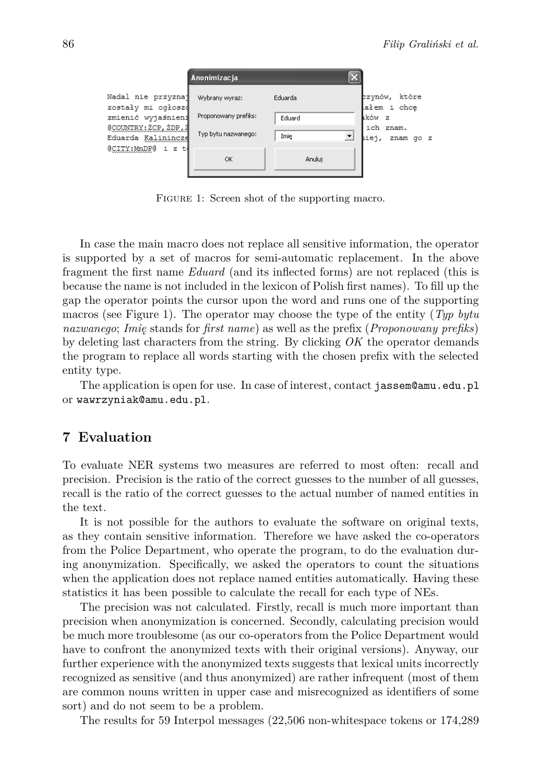|                                                                                                                                    | Anonimizacja                                                  |                   |       |                                                     |
|------------------------------------------------------------------------------------------------------------------------------------|---------------------------------------------------------------|-------------------|-------|-----------------------------------------------------|
| Nadal nie przyznaj<br>zostały mi ogłoszą<br>zmienić wyjaśnieni<br>@COUNTRY: 2CP, 2DP, 2<br>Eduarda Kalinincze<br>@CITY:MnDP@ i z t | Wybrany wyraz:<br>Proponowany prefiks:<br>Typ bytu nazwanego: | Eduarda<br>Eduard |       | zzynów, które<br>ałem i chce<br>kków z<br>ich znam. |
|                                                                                                                                    | OK                                                            | Imie<br>Anuluj    | iiej, | znam qo z                                           |

FIGURE 1: Screen shot of the supporting macro.

In case the main macro does not replace all sensitive information, the operator is supported by a set of macros for semi-automatic replacement. In the above fragment the first name *Eduard* (and its inflected forms) are not replaced (this is because the name is not included in the lexicon of Polish first names). To fill up the gap the operator points the cursor upon the word and runs one of the supporting macros (see Figure 1). The operator may choose the type of the entity (*Typ bytu nazwanego*; *Imię* stands for *first name*) as well as the prefix (*Proponowany prefiks*) by deleting last characters from the string. By clicking *OK* the operator demands the program to replace all words starting with the chosen prefix with the selected entity type.

The application is open for use. In case of interest, contact jassem@amu.edu.pl or wawrzyniak@amu.edu.pl.

### **7 Evaluation**

To evaluate NER systems two measures are referred to most often: recall and precision. Precision is the ratio of the correct guesses to the number of all guesses, recall is the ratio of the correct guesses to the actual number of named entities in the text.

It is not possible for the authors to evaluate the software on original texts, as they contain sensitive information. Therefore we have asked the co-operators from the Police Department, who operate the program, to do the evaluation during anonymization. Specifically, we asked the operators to count the situations when the application does not replace named entities automatically. Having these statistics it has been possible to calculate the recall for each type of NEs.

The precision was not calculated. Firstly, recall is much more important than precision when anonymization is concerned. Secondly, calculating precision would be much more troublesome (as our co-operators from the Police Department would have to confront the anonymized texts with their original versions). Anyway, our further experience with the anonymized texts suggests that lexical units incorrectly recognized as sensitive (and thus anonymized) are rather infrequent (most of them are common nouns written in upper case and misrecognized as identifiers of some sort) and do not seem to be a problem.

The results for 59 Interpol messages (22,506 non-whitespace tokens or 174,289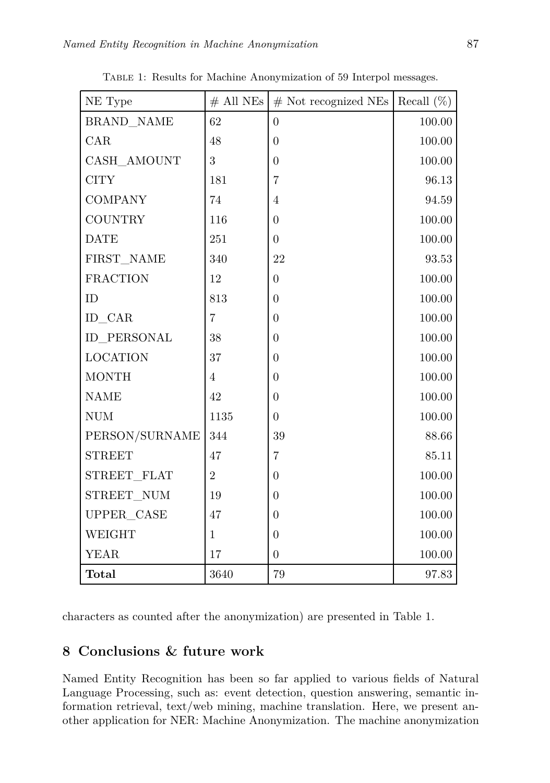| NE Type         | $#$ All NEs    | $#$ Not recognized NEs | Recall $(\%)$ |
|-----------------|----------------|------------------------|---------------|
| BRAND NAME      | 62             | $\overline{0}$         | 100.00        |
| CAR             | 48             | $\overline{0}$         | 100.00        |
| CASH AMOUNT     | 3              | $\overline{0}$         | 100.00        |
| <b>CITY</b>     | 181            | 7                      | 96.13         |
| <b>COMPANY</b>  | 74             | 4                      | 94.59         |
| <b>COUNTRY</b>  | 116            | $\overline{0}$         | 100.00        |
| <b>DATE</b>     | 251            | $\theta$               | $100.00\,$    |
| FIRST NAME      | 340            | 22                     | 93.53         |
| <b>FRACTION</b> | 12             | $\overline{0}$         | 100.00        |
| ID              | 813            | $\overline{0}$         | 100.00        |
| ID CAR          | $\overline{7}$ | $\overline{0}$         | 100.00        |
| ID PERSONAL     | 38             | $\overline{0}$         | 100.00        |
| <b>LOCATION</b> | 37             | $\overline{0}$         | 100.00        |
| <b>MONTH</b>    | $\overline{4}$ | $\overline{0}$         | 100.00        |
| <b>NAME</b>     | 42             | $\theta$               | 100.00        |
| $\rm{NUM}$      | 1135           | $\overline{0}$         | 100.00        |
| PERSON/SURNAME  | 344            | 39                     | 88.66         |
| <b>STREET</b>   | 47             | $\overline{7}$         | 85.11         |
| STREET FLAT     | $\overline{2}$ | $\theta$               | 100.00        |
| STREET NUM      | 19             | $\overline{0}$         | 100.00        |
| UPPER_CASE      | 47             | $\theta$               | 100.00        |
| WEIGHT          | $\mathbf{1}$   | $\theta$               | 100.00        |
| <b>YEAR</b>     | 17             | $\boldsymbol{0}$       | 100.00        |
| <b>Total</b>    | 3640           | 79                     | 97.83         |

Table 1: Results for Machine Anonymization of 59 Interpol messages.

characters as counted after the anonymization) are presented in Table 1.

# **8 Conclusions & future work**

Named Entity Recognition has been so far applied to various fields of Natural Language Processing, such as: event detection, question answering, semantic information retrieval, text/web mining, machine translation. Here, we present another application for NER: Machine Anonymization. The machine anonymization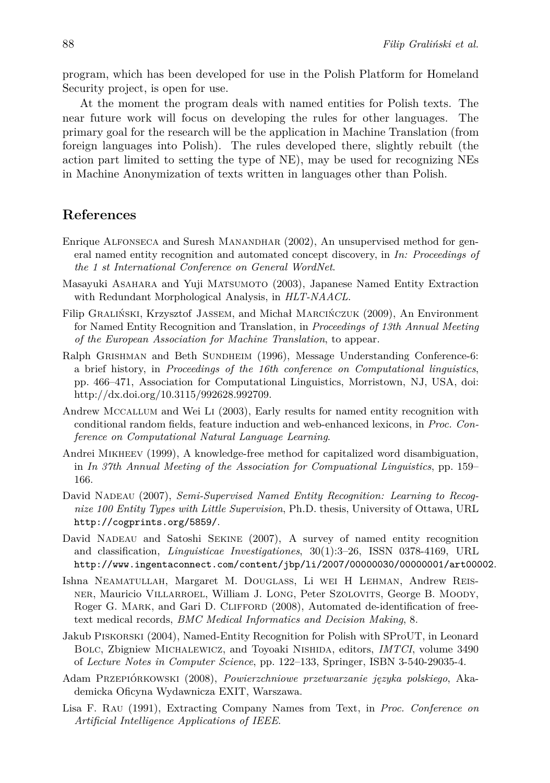program, which has been developed for use in the Polish Platform for Homeland Security project, is open for use.

At the moment the program deals with named entities for Polish texts. The near future work will focus on developing the rules for other languages. The primary goal for the research will be the application in Machine Translation (from foreign languages into Polish). The rules developed there, slightly rebuilt (the action part limited to setting the type of NE), may be used for recognizing NEs in Machine Anonymization of texts written in languages other than Polish.

#### **References**

- Enrique Alfonseca and Suresh Manandhar (2002), An unsupervised method for general named entity recognition and automated concept discovery, in *In: Proceedings of the 1 st International Conference on General WordNet*.
- Masayuki Asahara and Yuji Matsumoto (2003), Japanese Named Entity Extraction with Redundant Morphological Analysis, in *HLT-NAACL*.
- Filip Graliński, Krzysztof Jassem, and Michał Marcińczuk (2009), An Environment for Named Entity Recognition and Translation, in *Proceedings of 13th Annual Meeting of the European Association for Machine Translation*, to appear.
- Ralph GRISHMAN and Beth SUNDHEIM (1996), Message Understanding Conference-6: a brief history, in *Proceedings of the 16th conference on Computational linguistics*, pp. 466–471, Association for Computational Linguistics, Morristown, NJ, USA, doi: http://dx.doi.org/10.3115/992628.992709.
- Andrew Mccallum and Wei Li (2003), Early results for named entity recognition with conditional random fields, feature induction and web-enhanced lexicons, in *Proc. Conference on Computational Natural Language Learning*.
- Andrei Mikheev (1999), A knowledge-free method for capitalized word disambiguation, in *In 37th Annual Meeting of the Association for Compuational Linguistics*, pp. 159– 166.
- David NADEAU (2007), *Semi-Supervised Named Entity Recognition: Learning to Recognize 100 Entity Types with Little Supervision*, Ph.D. thesis, University of Ottawa, URL http://cogprints.org/5859/.
- David NADEAU and Satoshi SEKINE (2007), A survey of named entity recognition and classification, *Linguisticae Investigationes*, 30(1):3–26, ISSN 0378-4169, URL http://www.ingentaconnect.com/content/jbp/li/2007/00000030/00000001/art00002.
- Ishna Neamatullah, Margaret M. Douglass, Li wei H Lehman, Andrew Reisner, Mauricio Villarroel, William J. Long, Peter Szolovits, George B. Moody, Roger G. MARK, and Gari D. CLIFFORD (2008), Automated de-identification of freetext medical records, *BMC Medical Informatics and Decision Making*, 8.
- Jakub Piskorski (2004), Named-Entity Recognition for Polish with SProUT, in Leonard Bolc, Zbigniew Michalewicz, and Toyoaki Nishida, editors, *IMTCI*, volume 3490 of *Lecture Notes in Computer Science*, pp. 122–133, Springer, ISBN 3-540-29035-4.
- Adam Przepiórkowski (2008), *Powierzchniowe przetwarzanie języka polskiego*, Akademicka Oficyna Wydawnicza EXIT, Warszawa.
- Lisa F. Rau (1991), Extracting Company Names from Text, in *Proc. Conference on Artificial Intelligence Applications of IEEE*.